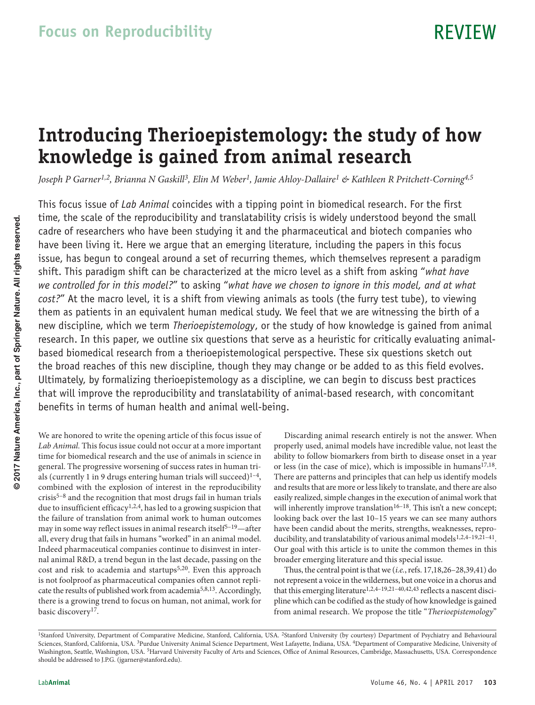# **Introducing Therioepistemology: the study of how knowledge is gained from animal research**

*Joseph P Garner1,2, Brianna N Gaskill3, Elin M Weber1, Jamie Ahloy-Dallaire1 & Kathleen R Pritchett-Corning4,5*

This focus issue of *Lab Animal* coincides with a tipping point in biomedical research. For the first time, the scale of the reproducibility and translatability crisis is widely understood beyond the small cadre of researchers who have been studying it and the pharmaceutical and biotech companies who have been living it. Here we argue that an emerging literature, including the papers in this focus issue, has begun to congeal around a set of recurring themes, which themselves represent a paradigm shift. This paradigm shift can be characterized at the micro level as a shift from asking "*what have we controlled for in this model?*" to asking "*what have we chosen to ignore in this model, and at what cost?*" At the macro level, it is a shift from viewing animals as tools (the furry test tube), to viewing them as patients in an equivalent human medical study. We feel that we are witnessing the birth of a new discipline, which we term *Therioepistemology*, or the study of how knowledge is gained from animal research. In this paper, we outline six questions that serve as a heuristic for critically evaluating animalbased biomedical research from a therioepistemological perspective. These six questions sketch out the broad reaches of this new discipline, though they may change or be added to as this field evolves. Ultimately, by formalizing therioepistemology as a discipline, we can begin to discuss best practices that will improve the reproducibility and translatability of animal-based research, with concomitant benefits in terms of human health and animal well-being.

We are honored to write the opening article of this focus issue of *Lab Animal.* This focus issue could not occur at a more important time for biomedical research and the use of animals in science in general. The progressive worsening of success rates in human trials (currently 1 in 9 drugs entering human trials will succeed)<sup>1-4</sup>, combined with the explosion of interest in the reproducibility  $crisis<sup>5–8</sup>$  $crisis<sup>5–8</sup>$  $crisis<sup>5–8</sup>$  and the recognition that most drugs fail in human trials due to insufficient efficacy<sup>[1,2,4](#page-8-0)</sup>, has led to a growing suspicion that the failure of translation from animal work to human outcomes may in some way reflect issues in animal research itself<sup>5-19</sup>-after all, every drug that fails in humans "worked" in an animal model. Indeed pharmaceutical companies continue to disinvest in internal animal R&D, a trend begun in the last decade, passing on the cost and risk to academia and startups $5,20$ . Even this approach is not foolproof as pharmaceutical companies often cannot replicate the results of published work from academia<sup>5,8,13</sup>. Accordingly, there is a growing trend to focus on human, not animal, work for basic discovery<sup>17</sup>.

Discarding animal research entirely is not the answer. When properly used, animal models have incredible value, not least the ability to follow biomarkers from birth to disease onset in a year or less (in the case of mice), which is impossible in humans<sup>[17,18](#page-8-2)</sup>. There are patterns and principles that can help us identify models and results that are more or less likely to translate, and there are also easily realized, simple changes in the execution of animal work that will inherently improve translation<sup>[16–18](#page-8-3)</sup>. This isn't a new concept; looking back over the last 10–15 years we can see many authors have been candid about the merits, strengths, weaknesses, reproducibility, and translatability of various animal models<sup>1,2,4-19,21-41</sup>. Our goal with this article is to unite the common themes in this broader emerging literature and this special issue.

Thus, the central point is that we (*i.e.*, refs. [17,18,26–28,39,41\)](#page-8-2) do not represent a voice in the wilderness, but one voice in a chorus and that this emerging literature<sup>1,2,4-19,21-40,42,43</sup> reflects a nascent discipline which can be codified as the study of how knowledge is gained from animal research. We propose the title "*Therioepistemology*"

<sup>1</sup>Stanford University, Department of Comparative Medicine, Stanford, California, USA. 2Stanford University (by courtesy) Department of Psychiatry and Behavioural Sciences, Stanford, California, USA. <sup>3</sup>Purdue University Animal Science Department, West Lafayette, Indiana, USA. <sup>4</sup>Department of Comparative Medicine, University of Washington, Seattle, Washington, USA. 5Harvard University Faculty of Arts and Sciences, Office of Animal Resources, Cambridge, Massachusetts, USA. Correspondence should be addressed to J.P.G. (jgarner@stanford.edu).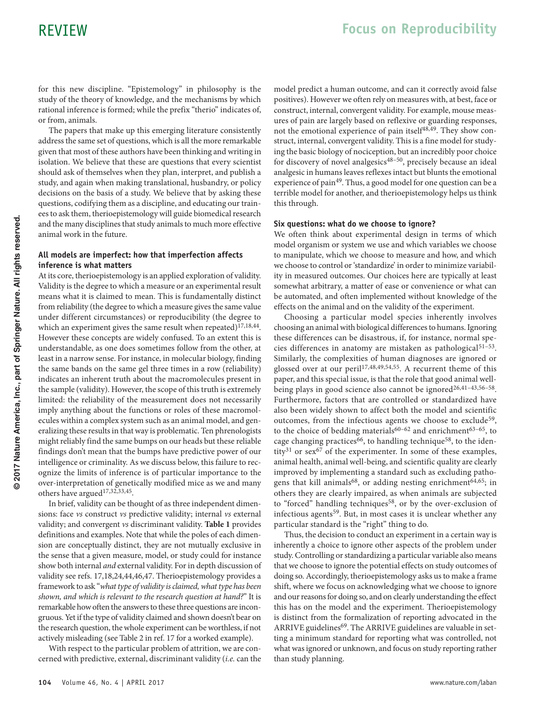for this new discipline. "Epistemology" in philosophy is the study of the theory of knowledge, and the mechanisms by which rational inference is formed; while the prefix "therio" indicates of, or from, animals.

The papers that make up this emerging literature consistently address the same set of questions, which is all the more remarkable given that most of these authors have been thinking and writing in isolation. We believe that these are questions that every scientist should ask of themselves when they plan, interpret, and publish a study, and again when making translational, husbandry, or policy decisions on the basis of a study. We believe that by asking these questions, codifying them as a discipline, and educating our trainees to ask them, therioepistemology will guide biomedical research and the many disciplines that study animals to much more effective animal work in the future.

### **All models are imperfect: how that imperfection affects inference is what matters**

At its core, therioepistemology is an applied exploration of validity. Validity is the degree to which a measure or an experimental result means what it is claimed to mean. This is fundamentally distinct from reliability (the degree to which a measure gives the same value under different circumstances) or reproducibility (the degree to which an experiment gives the same result when repeated) $17,18,44$ . However these concepts are widely confused. To an extent this is understandable, as one does sometimes follow from the other, at least in a narrow sense. For instance, in molecular biology, finding the same bands on the same gel three times in a row (reliability) indicates an inherent truth about the macromolecules present in the sample (validity). However, the scope of this truth is extremely limited: the reliability of the measurement does not necessarily imply anything about the functions or roles of these macromolecules within a complex system such as an animal model, and generalizing these results in that way is problematic. Ten phrenologists might reliably find the same bumps on our heads but these reliable findings don't mean that the bumps have predictive power of our intelligence or criminality. As we discuss below, this failure to recognize the limits of inference is of particular importance to the over-interpretation of genetically modified mice as we and many others have argue[d17,32,33,45](#page-8-2).

In brief, validity can be thought of as three independent dimensions: face *vs* construct *vs* predictive validity; internal *vs* external validity; and convergent *vs* discriminant validity. **[Table 1](#page-2-0)** provides definitions and examples. Note that while the poles of each dimension are conceptually distinct, they are not mutually exclusive in the sense that a given measure, model, or study could for instance show both internal *and* external validity. For in depth discussion of validity see refs. [17,18,24,44,46,47](#page-8-2). Therioepistemology provides a framework to ask "*what type of validity is claimed, what type has been shown, and which is relevant to the research question at hand?*" It is remarkable how often the answers to these three questions are incongruous. Yet if the type of validity claimed and shown doesn't bear on the research question, the whole experiment can be worthless, if not actively misleading (see Table 2 in ref. [17](#page-8-2) for a worked example).

With respect to the particular problem of attrition, we are concerned with predictive, external, discriminant validity (*i.e.* can the

model predict a human outcome, and can it correctly avoid false positives). However we often rely on measures with, at best, face or construct, internal, convergent validity. For example, mouse measures of pain are largely based on reflexive or guarding responses, not the emotional experience of pain itself<sup>[48,49](#page-9-0)</sup>. They show construct, internal, convergent validity. This is a fine model for studying the basic biology of nociception, but an incredibly poor choice for discovery of novel analgesics<sup>48-50</sup>, precisely because an ideal analgesic in humans leaves reflexes intact but blunts the emotional experience of pain<sup>49</sup>. Thus, a good model for one question can be a terrible model for another, and therioepistemology helps us think this through.

#### **Six questions: what do we choose to ignore?**

We often think about experimental design in terms of which model organism or system we use and which variables we choose to manipulate, which we choose to measure and how, and which we choose to control or 'standardize' in order to minimize variability in measured outcomes. Our choices here are typically at least somewhat arbitrary, a matter of ease or convenience or what can be automated, and often implemented without knowledge of the effects on the animal and on the validity of the experiment.

Choosing a particular model species inherently involves choosing an animal with biological differences to humans. Ignoring these differences can be disastrous, if, for instance, normal species differences in anatomy are mistaken as pathological<sup>51-53</sup>. Similarly, the complexities of human diagnoses are ignored or glossed over at our peril<sup>17,48,49,54,55</sup>. A recurrent theme of this paper, and this special issue, is that the role that good animal wellbeing plays in good science also cannot be ignored<sup>26,41-43,56-58</sup>. Furthermore, factors that are controlled or standardized have also been widely shown to affect both the model and scientific outcomes, from the infectious agents we choose to exclude<sup>[59](#page-9-3)</sup>, to the choice of bedding materials<sup>60-62</sup> and enrichment<sup>63-65</sup>, to cage changing practices<sup>[66](#page-9-6)</sup>, to handling technique<sup>[58](#page-9-7)</sup>, to the iden-tity<sup>[31](#page-8-5)</sup> or sex<sup>67</sup> of the experimenter. In some of these examples, animal health, animal well-being, and scientific quality are clearly improved by implementing a standard such as excluding patho-gens that kill animals<sup>[68](#page-9-9)</sup>, or adding nesting enrichment<sup>64,65</sup>; in others they are clearly impaired, as when animals are subjected to "forced" handling techniques<sup>[58](#page-9-7)</sup>, or by the over-exclusion of infectious agents<sup>59</sup>. But, in most cases it is unclear whether any particular standard is the "right" thing to do.

Thus, the decision to conduct an experiment in a certain way is inherently a choice to ignore other aspects of the problem under study. Controlling or standardizing a particular variable also means that we choose to ignore the potential effects on study outcomes of doing so. Accordingly, therioepistemology asks us to make a frame shift, where we focus on acknowledging what we choose to ignore and our reasons for doing so, and on clearly understanding the effect this has on the model and the experiment. Therioepistemology is distinct from the formalization of reporting advocated in the ARRIVE guidelines<sup>69</sup>. The ARRIVE guidelines are valuable in setting a minimum standard for reporting what was controlled, not what was ignored or unknown, and focus on study reporting rather than study planning.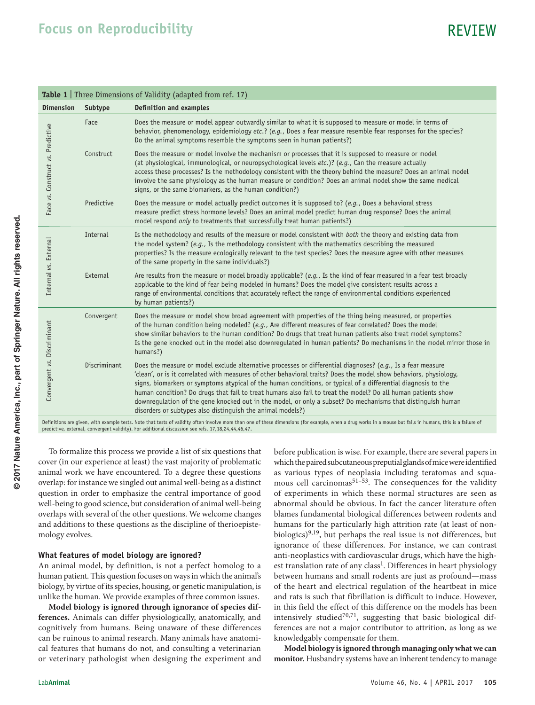<span id="page-2-0"></span>

| <b>Table 1</b>   Three Dimensions of Validity (adapted from ref. 17)                                                                                                                                       |              |                                                                                                                                                                                                                                                                                                                                                                                                                                                                                                                                                                                                                                                |
|------------------------------------------------------------------------------------------------------------------------------------------------------------------------------------------------------------|--------------|------------------------------------------------------------------------------------------------------------------------------------------------------------------------------------------------------------------------------------------------------------------------------------------------------------------------------------------------------------------------------------------------------------------------------------------------------------------------------------------------------------------------------------------------------------------------------------------------------------------------------------------------|
| <b>Dimension</b>                                                                                                                                                                                           | Subtype      | <b>Definition and examples</b>                                                                                                                                                                                                                                                                                                                                                                                                                                                                                                                                                                                                                 |
| Face vs. Construct vs. Predictive                                                                                                                                                                          | Face         | Does the measure or model appear outwardly similar to what it is supposed to measure or model in terms of<br>behavior, phenomenology, epidemiology etc.? (e.g., Does a fear measure resemble fear responses for the species?<br>Do the animal symptoms resemble the symptoms seen in human patients?)                                                                                                                                                                                                                                                                                                                                          |
|                                                                                                                                                                                                            | Construct    | Does the measure or model involve the mechanism or processes that it is supposed to measure or model<br>(at physiological, immunological, or neuropsychological levels $etc.$ )? (e.g., Can the measure actually<br>access these processes? Is the methodology consistent with the theory behind the measure? Does an animal model<br>involve the same physiology as the human measure or condition? Does an animal model show the same medical<br>signs, or the same biomarkers, as the human condition?)                                                                                                                                     |
|                                                                                                                                                                                                            | Predictive   | Does the measure or model actually predict outcomes it is supposed to? (e.g., Does a behavioral stress<br>measure predict stress hormone levels? Does an animal model predict human drug response? Does the animal<br>model respond only to treatments that successfully treat human patients?)                                                                                                                                                                                                                                                                                                                                                |
| External<br>Internal vs.                                                                                                                                                                                   | Internal     | Is the methodology and results of the measure or model consistent with both the theory and existing data from<br>the model system? (e.g., Is the methodology consistent with the mathematics describing the measured<br>properties? Is the measure ecologically relevant to the test species? Does the measure agree with other measures<br>of the same property in the same individuals?)                                                                                                                                                                                                                                                     |
|                                                                                                                                                                                                            | External     | Are results from the measure or model broadly applicable? (e.g., Is the kind of fear measured in a fear test broadly<br>applicable to the kind of fear being modeled in humans? Does the model give consistent results across a<br>range of environmental conditions that accurately reflect the range of environmental conditions experienced<br>by human patients?)                                                                                                                                                                                                                                                                          |
| Discriminant<br>Convergent vs.                                                                                                                                                                             | Convergent   | Does the measure or model show broad agreement with properties of the thing being measured, or properties<br>of the human condition being modeled? (e.g., Are different measures of fear correlated? Does the model<br>show similar behaviors to the human condition? Do drugs that treat human patients also treat model symptoms?<br>Is the gene knocked out in the model also downregulated in human patients? Do mechanisms in the model mirror those in<br>humans?)                                                                                                                                                                       |
|                                                                                                                                                                                                            | Discriminant | Does the measure or model exclude alternative processes or differential diagnoses? (e.g., Is a fear measure<br>'clean', or is it correlated with measures of other behavioral traits? Does the model show behaviors, physiology,<br>signs, biomarkers or symptoms atypical of the human conditions, or typical of a differential diagnosis to the<br>human condition? Do drugs that fail to treat humans also fail to treat the model? Do all human patients show<br>downrequlation of the gene knocked out in the model, or only a subset? Do mechanisms that distinguish human<br>disorders or subtypes also distinguish the animal models?) |
| Definitions are given with example tests. Note that tests of validity often involve mess than one of these dimensions (for example, when a drug werks in a mouse but fails in bumans, this is a failure of |              |                                                                                                                                                                                                                                                                                                                                                                                                                                                                                                                                                                                                                                                |

Definitions are given, with example tests. Note that tests of validity often involve more than one of these dimensions (for example, when a drug works in a mouse but fails in humans, this is a failure of predictive, external, convergent validity). For additional discussion see refs. [17,18,24,44,46,47.](#page-8-2)

To formalize this process we provide a list of six questions that cover (in our experience at least) the vast majority of problematic animal work we have encountered. To a degree these questions overlap: for instance we singled out animal well-being as a distinct question in order to emphasize the central importance of good well-being to good science, but consideration of animal well-being overlaps with several of the other questions. We welcome changes and additions to these questions as the discipline of therioepistemology evolves.

### **What features of model biology are ignored?**

An animal model, by definition, is not a perfect homolog to a human patient. This question focuses on ways in which the animal's biology, by virtue of its species, housing, or genetic manipulation, is unlike the human. We provide examples of three common issues.

**Model biology is ignored through ignorance of species differences.** Animals can differ physiologically, anatomically, and cognitively from humans. Being unaware of these differences can be ruinous to animal research. Many animals have anatomical features that humans do not, and consulting a veterinarian or veterinary pathologist when designing the experiment and before publication is wise. For example, there are several papers in which the paired subcutaneous preputial glands of mice were identified as various types of neoplasia including teratomas and squamous cell carcinomas<sup>51-53</sup>. The consequences for the validity of experiments in which these normal structures are seen as abnormal should be obvious. In fact the cancer literature often blames fundamental biological differences between rodents and humans for the particularly high attrition rate (at least of nonbiologics)[9,19,](#page-8-6) but perhaps the real issue is not differences, but ignorance of these differences. For instance, we can contrast anti-neoplastics with cardiovascular drugs, which have the highest translation rate of any class<sup>1</sup>. Differences in heart physiology between humans and small rodents are just as profound—mass of the heart and electrical regulation of the heartbeat in mice and rats is such that fibrillation is difficult to induce. However, in this field the effect of this difference on the models has been intensively studied $70,71$ , suggesting that basic biological differences are not a major contributor to attrition, as long as we knowledgably compensate for them.

**Model biology is ignored through managing only what we can monitor.** Husbandry systems have an inherent tendency to manage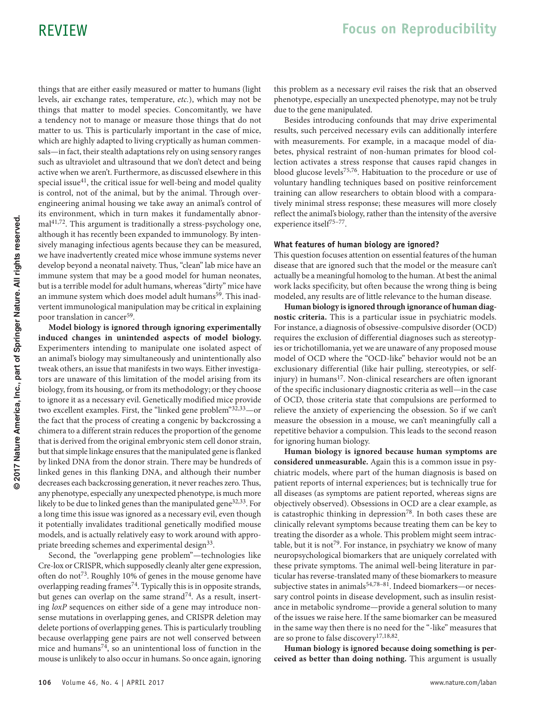things that are either easily measured or matter to humans (light levels, air exchange rates, temperature, *etc.*), which may not be things that matter to model species. Concomitantly, we have a tendency not to manage or measure those things that do not matter to us. This is particularly important in the case of mice, which are highly adapted to living cryptically as human commensals—in fact, their stealth adaptations rely on using sensory ranges such as ultraviolet and ultrasound that we don't detect and being active when we aren't. Furthermore, as discussed elsewhere in this special issue $41$ , the critical issue for well-being and model quality is control, not of the animal, but by the animal. Through overengineering animal housing we take away an animal's control of its environment, which in turn makes it fundamentally abnormal[41,72](#page-8-7). This argument is traditionally a stress-psychology one, although it has recently been expanded to immunology. By intensively managing infectious agents because they can be measured, we have inadvertently created mice whose immune systems never develop beyond a neonatal naivety. Thus, "clean" lab mice have an immune system that may be a good model for human neonates, but is a terrible model for adult humans, whereas "dirty" mice have an immune system which does model adult humans<sup>59</sup>. This inadvertent immunological manipulation may be critical in explaining poor translation in cancer<sup>59</sup>.

**Model biology is ignored through ignoring experimentally induced changes in unintended aspects of model biology.**  Experimenters intending to manipulate one isolated aspect of an animal's biology may simultaneously and unintentionally also tweak others, an issue that manifests in two ways. Either investigators are unaware of this limitation of the model arising from its biology, from its housing, or from its methodology; or they choose to ignore it as a necessary evil. Genetically modified mice provide two excellent examples. First, the "linked gene problem"[32,33—](#page-8-8)or the fact that the process of creating a congenic by backcrossing a chimera to a different strain reduces the proportion of the genome that is derived from the original embryonic stem cell donor strain, but that simple linkage ensures that the manipulated gene is flanked by linked DNA from the donor strain. There may be hundreds of linked genes in this flanking DNA, and although their number decreases each backcrossing generation, it never reaches zero. Thus, any phenotype, especially any unexpected phenotype, is much more likely to be due to linked genes than the manipulated gene<sup>32,33</sup>. For a long time this issue was ignored as a necessary evil, even though it potentially invalidates traditional genetically modified mouse models, and is actually relatively easy to work around with appropriate breeding schemes and experimental design<sup>33</sup>.

Second, the "overlapping gene problem"—technologies like Cre-lox or CRISPR, which supposedly cleanly alter gene expression, often do not<sup>73</sup>. Roughly 10% of genes in the mouse genome have overlapping reading frames<sup>74</sup>. Typically this is in opposite strands, but genes can overlap on the same strand<sup>[74](#page-9-14)</sup>. As a result, inserting *loxP* sequences on either side of a gene may introduce nonsense mutations in overlapping genes, and CRISPR deletion may delete portions of overlapping genes. This is particularly troubling because overlapping gene pairs are not well conserved between mice and humans<sup>74</sup>, so an unintentional loss of function in the mouse is unlikely to also occur in humans. So once again, ignoring this problem as a necessary evil raises the risk that an observed phenotype, especially an unexpected phenotype, may not be truly due to the gene manipulated.

Besides introducing confounds that may drive experimental results, such perceived necessary evils can additionally interfere with measurements. For example, in a macaque model of diabetes, physical restraint of non-human primates for blood collection activates a stress response that causes rapid changes in blood glucose levels<sup>75,76</sup>. Habituation to the procedure or use of voluntary handling techniques based on positive reinforcement training can allow researchers to obtain blood with a comparatively minimal stress response; these measures will more closely reflect the animal's biology, rather than the intensity of the aversive experience itself<sup>75-77</sup>.

#### **What features of human biology are ignored?**

This question focuses attention on essential features of the human disease that are ignored such that the model or the measure can't actually be a meaningful homolog to the human. At best the animal work lacks specificity, but often because the wrong thing is being modeled, any results are of little relevance to the human disease.

**Human biology is ignored through ignorance of human diagnostic criteria.** This is a particular issue in psychiatric models. For instance, a diagnosis of obsessive-compulsive disorder (OCD) requires the exclusion of differential diagnoses such as stereotypies or trichotillomania, yet we are unaware of any proposed mouse model of OCD where the "OCD-like" behavior would not be an exclusionary differential (like hair pulling, stereotypies, or self-injury) in humans<sup>[17](#page-8-2)</sup>. Non-clinical researchers are often ignorant of the specific inclusionary diagnostic criteria as well—in the case of OCD, those criteria state that compulsions are performed to relieve the anxiety of experiencing the obsession. So if we can't measure the obsession in a mouse, we can't meaningfully call a repetitive behavior a compulsion. This leads to the second reason for ignoring human biology.

**Human biology is ignored because human symptoms are considered unmeasurable.** Again this is a common issue in psychiatric models, where part of the human diagnosis is based on patient reports of internal experiences; but is technically true for all diseases (as symptoms are patient reported, whereas signs are objectively observed). Obsessions in OCD are a clear example, as is catastrophic thinking in depression<sup>78</sup>. In both cases these are clinically relevant symptoms because treating them can be key to treating the disorder as a whole. This problem might seem intrac-table, but it is not<sup>[79](#page-9-17)</sup>. For instance, in psychiatry we know of many neuropsychological biomarkers that are uniquely correlated with these private symptoms. The animal well-being literature in particular has reverse-translated many of these biomarkers to measure subjective states in animals<sup>54,78-81</sup>. Indeed biomarkers—or necessary control points in disease development, such as insulin resistance in metabolic syndrome—provide a general solution to many of the issues we raise here. If the same biomarker can be measured in the same way then there is no need for the "-like" measures that are so prone to false discovery<sup>[17,18,82](#page-8-2)</sup>.

**Human biology is ignored because doing something is perceived as better than doing nothing.** This argument is usually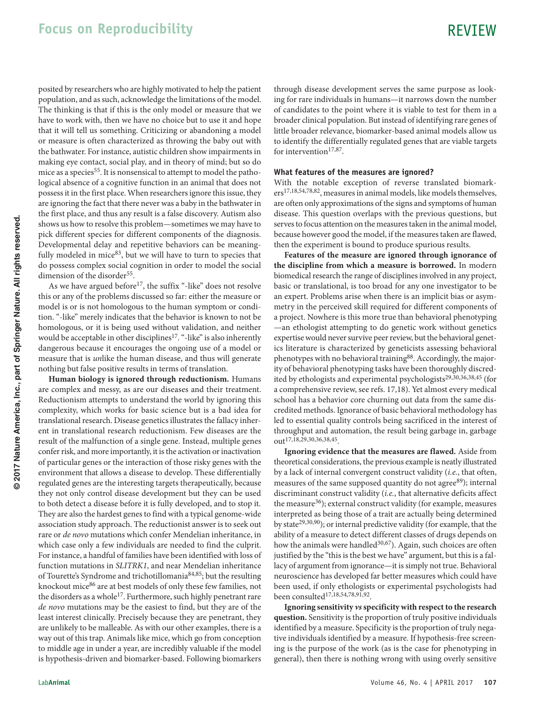posited by researchers who are highly motivated to help the patient population, and as such, acknowledge the limitations of the model. The thinking is that if this is the only model or measure that we have to work with, then we have no choice but to use it and hope that it will tell us something. Criticizing or abandoning a model or measure is often characterized as throwing the baby out with the bathwater. For instance, autistic children show impairments in making eye contact, social play, and in theory of mind; but so do mice as a species<sup>[55](#page-9-19)</sup>. It is nonsensical to attempt to model the pathological absence of a cognitive function in an animal that does not possess it in the first place. When researchers ignore this issue, they are ignoring the fact that there never was a baby in the bathwater in the first place, and thus any result is a false discovery. Autism also shows us how to resolve this problem—sometimes we may have to pick different species for different components of the diagnosis. Developmental delay and repetitive behaviors can be meaningfully modeled in mice<sup>83</sup>, but we will have to turn to species that do possess complex social cognition in order to model the social dimension of the disorder<sup>55</sup>.

As we have argued before<sup>17</sup>, the suffix "-like" does not resolve this or any of the problems discussed so far: either the measure or model is or is not homologous to the human symptom or condition. "-like" merely indicates that the behavior is known to not be homologous, or it is being used without validation, and neither would be acceptable in other disciplines<sup>17</sup>. "-like" is also inherently dangerous because it encourages the ongoing use of a model or measure that is *un*like the human disease, and thus will generate nothing but false positive results in terms of translation.

**Human biology is ignored through reductionism.** Humans are complex and messy, as are our diseases and their treatment. Reductionism attempts to understand the world by ignoring this complexity, which works for basic science but is a bad idea for translational research. Disease genetics illustrates the fallacy inherent in translational research reductionism. Few diseases are the result of the malfunction of a single gene. Instead, multiple genes confer risk, and more importantly, it is the activation or inactivation of particular genes or the interaction of those risky genes with the environment that allows a disease to develop. These differentially regulated genes are the interesting targets therapeutically, because they not only control disease development but they can be used to both detect a disease before it is fully developed, and to stop it. They are also the hardest genes to find with a typical genome-wide association study approach. The reductionist answer is to seek out rare or *de novo* mutations which confer Mendelian inheritance, in which case only a few individuals are needed to find the culprit. For instance, a handful of families have been identified with loss of function mutations in *SLITRK1*, and near Mendelian inheritance of Tourette's Syndrome and trichotillomania[84,85](#page-9-21); but the resulting knockout mic[e86](#page-9-22) are at best models of only these few families, not the disorders as a whole<sup>17</sup>. Furthermore, such highly penetrant rare *de novo* mutations may be the easiest to find, but they are of the least interest clinically. Precisely because they are penetrant, they are unlikely to be malleable. As with our other examples, there is a way out of this trap. Animals like mice, which go from conception to middle age in under a year, are incredibly valuable if the model is hypothesis-driven and biomarker-based. Following biomarkers through disease development serves the same purpose as looking for rare individuals in humans—it narrows down the number of candidates to the point where it is viable to test for them in a broader clinical population. But instead of identifying rare genes of little broader relevance, biomarker-based animal models allow us to identify the differentially regulated genes that are viable targets for intervention<sup>17,87</sup>.

#### **What features of the measures are ignored?**

With the notable exception of reverse translated biomarker[s17,18,54,78,82](#page-8-2), measures in animal models, like models themselves, are often only approximations of the signs and symptoms of human disease. This question overlaps with the previous questions, but serves to focus attention on the measures taken in the animal model, because however good the model, if the measures taken are flawed, then the experiment is bound to produce spurious results.

**Features of the measure are ignored through ignorance of the discipline from which a measure is borrowed.** In modern biomedical research the range of disciplines involved in any project, basic or translational, is too broad for any one investigator to be an expert. Problems arise when there is an implicit bias or asymmetry in the perceived skill required for different components of a project. Nowhere is this more true than behavioral phenotyping —an ethologist attempting to do genetic work without genetics expertise would never survive peer review, but the behavioral genetics literature is characterized by geneticists assessing behavioral phenotypes with no behavioral training<sup>88</sup>. Accordingly, the majority of behavioral phenotyping tasks have been thoroughly discredited by ethologists and experimental psychologists<sup>29,30,36,38,45</sup> (for a comprehensive review, see refs. [17,18](#page-8-2)). Yet almost every medical school has a behavior core churning out data from the same discredited methods. Ignorance of basic behavioral methodology has led to essential quality controls being sacrificed in the interest of throughput and automation, the result being garbage in, garbage out[17,18,29,30,36,38,45.](#page-8-2)

**Ignoring evidence that the measures are flawed.** Aside from theoretical considerations, the previous example is neatly illustrated by a lack of internal convergent construct validity (*i.e.*, that often, measures of the same supposed quantity do not agree<sup>89</sup>); internal discriminant construct validity (*i.e.*, that alternative deficits affect the measure<sup>36</sup>); external construct validity (for example, measures interpreted as being those of a trait are actually being determined by state<sup>[29,30,90](#page-8-10)</sup>); or internal predictive validity (for example, that the ability of a measure to detect different classes of drugs depends on how the animals were handled<sup>30,67</sup>). Again, such choices are often justified by the "this is the best we have" argument, but this is a fallacy of argument from ignorance—it is simply not true. Behavioral neuroscience has developed far better measures which could have been used, if only ethologists or experimental psychologists had been consulte[d17,18,54,78,91,92.](#page-8-2)

**Ignoring sensitivity** *vs* **specificity with respect to the research question.** Sensitivity is the proportion of truly positive individuals identified by a measure. Specificity is the proportion of truly negative individuals identified by a measure. If hypothesis-free screening is the purpose of the work (as is the case for phenotyping in general), then there is nothing wrong with using overly sensitive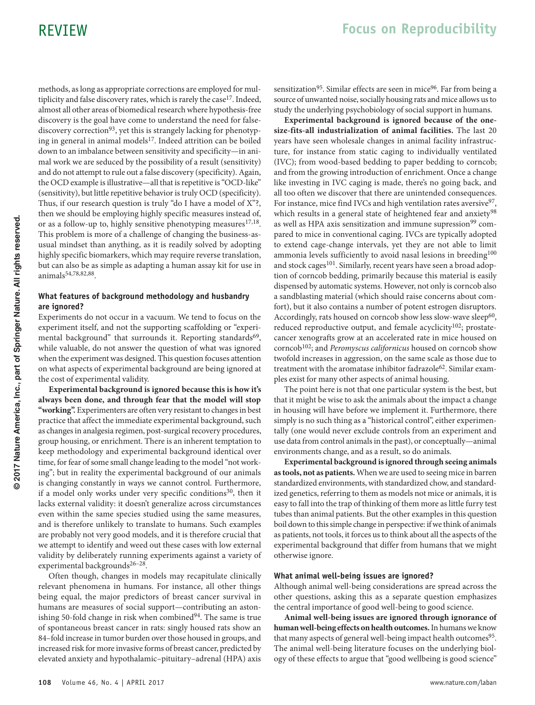methods, as long as appropriate corrections are employed for multiplicity and false discovery rates, which is rarely the case<sup>17</sup>. Indeed, almost all other areas of biomedical research where hypothesis-free discovery is the goal have come to understand the need for falsediscovery correction<sup>93</sup>, yet this is strangely lacking for phenotyp-ing in general in animal models<sup>[17](#page-8-2)</sup>. Indeed attrition can be boiled down to an imbalance between sensitivity and specificity—in animal work we are seduced by the possibility of a result (sensitivity) and do not attempt to rule out a false discovery (specificity). Again, the OCD example is illustrative—all that is repetitive is "OCD-like" (sensitivity), but little repetitive behavior is truly OCD (specificity). Thus, if our research question is truly "do I have a model of X"?, then we should be employing highly specific measures instead of, or as a follow-up to, highly sensitive phenotyping measures $17,18$ . This problem is more of a challenge of changing the business-asusual mindset than anything, as it is readily solved by adopting highly specific biomarkers, which may require reverse translation, but can also be as simple as adapting a human assay kit for use in animals[54,78,82,88.](#page-9-18)

### **What features of background methodology and husbandry are ignored?**

Experiments do not occur in a vacuum. We tend to focus on the experiment itself, and not the supporting scaffolding or "experimental background" that surrounds it. Reporting standards<sup>69</sup>, while valuable, do not answer the question of what was ignored when the experiment was designed. This question focuses attention on what aspects of experimental background are being ignored at the cost of experimental validity.

**Experimental background is ignored because this is how it's always been done, and through fear that the model will stop "working".** Experimenters are often very resistant to changes in best practice that affect the immediate experimental background, such as changes in analgesia regimen, post-surgical recovery procedures, group housing, or enrichment. There is an inherent temptation to keep methodology and experimental background identical over time, for fear of some small change leading to the model "not working"; but in reality the experimental background of our animals is changing constantly in ways we cannot control. Furthermore, if a model only works under very specific conditions $30$ , then it lacks external validity: it doesn't generalize across circumstances even within the same species studied using the same measures, and is therefore unlikely to translate to humans. Such examples are probably not very good models, and it is therefore crucial that we attempt to identify and weed out these cases with low external validity by deliberately running experiments against a variety of experimental backgrounds<sup>26-28</sup>.

Often though, changes in models may recapitulate clinically relevant phenomena in humans. For instance, all other things being equal, the major predictors of breast cancer survival in humans are measures of social support—contributing an astonishing 50-fold change in risk when combined $94$ . The same is true of spontaneous breast cancer in rats: singly housed rats show an 84–fold increase in tumor burden over those housed in groups, and increased risk for more invasive forms of breast cancer, predicted by elevated anxiety and hypothalamic–pituitary–adrenal (HPA) axis sensitization<sup>95</sup>. Similar effects are seen in mice<sup>96</sup>. Far from being a source of unwanted noise, socially housing rats and mice allows us to study the underlying psychobiology of social support in humans.

**Experimental background is ignored because of the onesize-fits-all industrialization of animal facilities.** The last 20 years have seen wholesale changes in animal facility infrastructure, for instance from static caging to individually ventilated (IVC); from wood-based bedding to paper bedding to corncob; and from the growing introduction of enrichment. Once a change like investing in IVC caging is made, there's no going back, and all too often we discover that there are unintended consequences. For instance, mice find IVCs and high ventilation rates aversive<sup>97</sup>, which results in a general state of heightened fear and anxiety<sup>[98](#page-10-0)</sup> as well as HPA axis sensitization and immune supression<sup>[99](#page-10-1)</sup> compared to mice in conventional caging. IVCs are typically adopted to extend cage-change intervals, yet they are not able to limit ammonia levels sufficiently to avoid nasal lesions in breeding[100](#page-10-2) and stock cages<sup>101</sup>. Similarly, recent years have seen a broad adoption of corncob bedding, primarily because this material is easily dispensed by automatic systems. However, not only is corncob also a sandblasting material (which should raise concerns about comfort), but it also contains a number of potent estrogen disruptors. Accordingly, rats housed on corncob show less slow-wave sleep<sup>60</sup>, reduced reproductive output, and female acyclicity<sup>[102](#page-10-4)</sup>; prostatecancer xenografts grow at an accelerated rate in mice housed on corncob[102;](#page-10-4) and *Peromyscus californicus* housed on corncob show twofold increases in aggression, on the same scale as those due to treatment with the aromatase inhibitor fadrazole<sup>62</sup>. Similar examples exist for many other aspects of animal housing.

The point here is not that one particular system is the best, but that it might be wise to ask the animals about the impact a change in housing will have before we implement it. Furthermore, there simply is no such thing as a "historical control", either experimentally (one would never exclude controls from an experiment and use data from control animals in the past), or conceptually—animal environments change, and as a result, so do animals.

**Experimental background is ignored through seeing animals as tools, not as patients.** When we are used to seeing mice in barren standardized environments, with standardized chow, and standardized genetics, referring to them as models not mice or animals, it is easy to fall into the trap of thinking of them more as little furry test tubes than animal patients. But the other examples in this question boil down to this simple change in perspective: if we think of animals as patients, not tools, it forces us to think about all the aspects of the experimental background that differ from humans that we might otherwise ignore.

### **What animal well-being issues are ignored?**

Although animal well-being considerations are spread across the other questions, asking this as a separate question emphasizes the central importance of good well-being to good science.

**Animal well-being issues are ignored through ignorance of human well-being effects on health outcomes.** In humans we know that many aspects of general well-being impact health outcomes<sup>95</sup>. The animal well-being literature focuses on the underlying biology of these effects to argue that "good wellbeing is good science"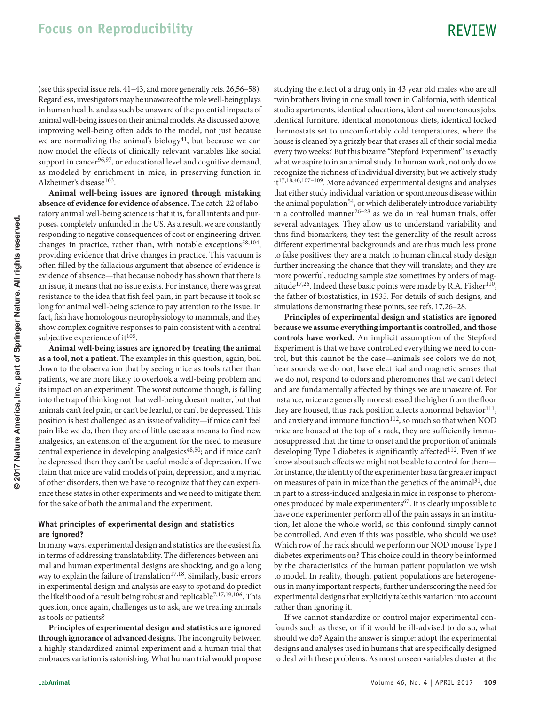(see this special issue refs. [41–43](#page-8-7), and more generally refs. [26,56–58\)](#page-8-4). Regardless, investigators may be unaware of the role well-being plays in human health, and as such be unaware of the potential impacts of animal well-being issues on their animal models. As discussed above, improving well-being often adds to the model, not just because we are normalizing the animal's biology<sup>41</sup>, but because we can now model the effects of clinically relevant variables like social support in cancer<sup>[96,97](#page-9-27)</sup>, or educational level and cognitive demand, as modeled by enrichment in mice, in preserving function in Alzheimer's disease<sup>103</sup>.

**Animal well-being issues are ignored through mistaking absence of evidence for evidence of absence.** The catch-22 of laboratory animal well-being science is that it is, for all intents and purposes, completely unfunded in the US. As a result, we are constantly responding to negative consequences of cost or engineering-driven changes in practice, rather than, with notable exceptions $58,104$ , providing evidence that drive changes in practice. This vacuum is often filled by the fallacious argument that absence of evidence is evidence of absence—that because nobody has shown that there is an issue, it means that no issue exists. For instance, there was great resistance to the idea that fish feel pain, in part because it took so long for animal well-being science to pay attention to the issue. In fact, fish have homologous neurophysiology to mammals, and they show complex cognitive responses to pain consistent with a central subjective experience of it<sup>105</sup>.

**Animal well-being issues are ignored by treating the animal as a tool, not a patient.** The examples in this question, again, boil down to the observation that by seeing mice as tools rather than patients, we are more likely to overlook a well-being problem and its impact on an experiment. The worst outcome though, is falling into the trap of thinking not that well-being doesn't matter, but that animals can't feel pain, or can't be fearful, or can't be depressed. This position is best challenged as an issue of validity—if mice can't feel pain like we do, then they are of little use as a means to find new analgesics, an extension of the argument for the need to measure central experience in developing analgesics<sup>48,50</sup>; and if mice can't be depressed then they can't be useful models of depression. If we claim that mice are valid models of pain, depression, and a myriad of other disorders, then we have to recognize that they can experience these states in other experiments and we need to mitigate them for the sake of both the animal and the experiment.

### **What principles of experimental design and statistics are ignored?**

In many ways, experimental design and statistics are the easiest fix in terms of addressing translatability. The differences between animal and human experimental designs are shocking, and go a long way to explain the failure of translation<sup>17,18</sup>. Similarly, basic errors in experimental design and analysis are easy to spot and do predict the likelihood of a result being robust and replicable<sup>[7,17,19,106](#page-8-13)</sup>. This question, once again, challenges us to ask, are we treating animals as tools or patients?

**Principles of experimental design and statistics are ignored through ignorance of advanced designs.** The incongruity between a highly standardized animal experiment and a human trial that embraces variation is astonishing. What human trial would propose studying the effect of a drug only in 43 year old males who are all twin brothers living in one small town in California, with identical studio apartments, identical educations, identical monotonous jobs, identical furniture, identical monotonous diets, identical locked thermostats set to uncomfortably cold temperatures, where the house is cleaned by a grizzly bear that erases all of their social media every two weeks? But this bizarre "Stepford Experiment" is exactly what we aspire to in an animal study. In human work, not only do we recognize the richness of individual diversity, but we actively study it<sup>17,18,40,107-109</sup>. More advanced experimental designs and analyses that either study individual variation or spontaneous disease within the animal population<sup>54</sup>, or which deliberately introduce variability in a controlled manner<sup>26-28</sup> as we do in real human trials, offer several advantages. They allow us to understand variability and thus find biomarkers; they test the generality of the result across different experimental backgrounds and are thus much less prone to false positives; they are a match to human clinical study design further increasing the chance that they will translate; and they are more powerful, reducing sample size sometimes by orders of magnitude<sup>17,26</sup>. Indeed these basic points were made by R.A. Fisher<sup>110</sup>, the father of biostatistics, in 1935. For details of such designs, and simulations demonstrating these points, see refs. [17,26–28](#page-8-2).

**Principles of experimental design and statistics are ignored because we assume everything important is controlled, and those controls have worked.** An implicit assumption of the Stepford Experiment is that we have controlled everything we need to control, but this cannot be the case—animals see colors we do not, hear sounds we do not, have electrical and magnetic senses that we do not, respond to odors and pheromones that we can't detect and are fundamentally affected by things we are unaware of. For instance, mice are generally more stressed the higher from the floor they are housed, thus rack position affects abnormal behavior<sup>111</sup>, and anxiety and immune function<sup>112</sup>, so much so that when NOD mice are housed at the top of a rack, they are sufficiently immunosuppressed that the time to onset and the proportion of animals developing Type I diabetes is significantly affected<sup>[112](#page-10-9)</sup>. Even if we know about such effects we might not be able to control for them for instance, the identity of the experimenter has a far greater impact on measures of pain in mice than the genetics of the animal<sup>[31](#page-8-5)</sup>, due in part to a stress-induced analgesia in mice in response to pheromones produced by male experimenters[67.](#page-9-8) It is clearly impossible to have one experimenter perform all of the pain assays in an institution, let alone the whole world, so this confound simply cannot be controlled. And even if this was possible, who should we use? Which row of the rack should we perform our NOD mouse Type I diabetes experiments on? This choice could in theory be informed by the characteristics of the human patient population we wish to model. In reality, though, patient populations are heterogeneous in many important respects, further underscoring the need for experimental designs that explicitly take this variation into account rather than ignoring it.

If we cannot standardize or control major experimental confounds such as these, or if it would be ill-advised to do so, what should we do? Again the answer is simple: adopt the experimental designs and analyses used in humans that are specifically designed to deal with these problems. As most unseen variables cluster at the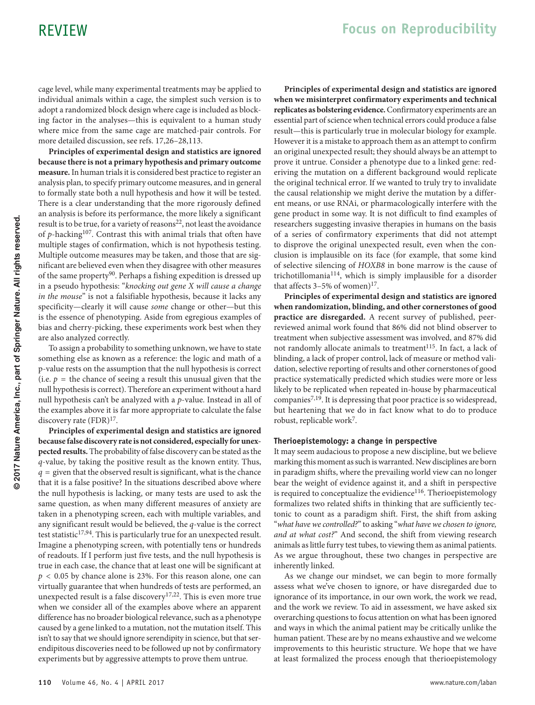cage level, while many experimental treatments may be applied to individual animals within a cage, the simplest such version is to adopt a randomized block design where cage is included as blocking factor in the analyses—this is equivalent to a human study where mice from the same cage are matched-pair controls. For more detailed discussion, see refs. [17,26–28,113.](#page-8-2)

**Principles of experimental design and statistics are ignored because there is not a primary hypothesis and primary outcome measure.** In human trials it is considered best practice to register an analysis plan, to specify primary outcome measures, and in general to formally state both a null hypothesis and how it will be tested. There is a clear understanding that the more rigorously defined an analysis is before its performance, the more likely a significant result is to be true, for a variety of reasons<sup>22</sup>, not least the avoidance of *p*-hacking<sup>107</sup>. Contrast this with animal trials that often have multiple stages of confirmation, which is not hypothesis testing. Multiple outcome measures may be taken, and those that are significant are believed even when they disagree with other measures of the same property<sup>90</sup>. Perhaps a fishing expedition is dressed up in a pseudo hypothesis: "*knocking out gene X will cause a change in the mouse*" is not a falsifiable hypothesis, because it lacks any specificity—clearly it will cause *some* change or other—but this is the essence of phenotyping. Aside from egregious examples of bias and cherry-picking, these experiments work best when they are also analyzed correctly.

To assign a probability to something unknown, we have to state something else as known as a reference: the logic and math of a p-value rests on the assumption that the null hypothesis is correct (i.e.  $p =$  the chance of seeing a result this unusual given that the null hypothesis is correct). Therefore an experiment without a hard null hypothesis can't be analyzed with a *p*-value. Instead in all of the examples above it is far more appropriate to calculate the false discovery rate (FDR)<sup>17</sup>.

**Principles of experimental design and statistics are ignored because false discovery rate is not considered, especially for unexpected results.** The probability of false discovery can be stated as the *q*-value, by taking the positive result as the known entity. Thus,  $q =$  given that the observed result is significant, what is the chance that it is a false positive? In the situations described above where the null hypothesis is lacking, or many tests are used to ask the same question, as when many different measures of anxiety are taken in a phenotyping screen, each with multiple variables, and any significant result would be believed, the *q*-value is the correct test statistic<sup>17,94</sup>. This is particularly true for an unexpected result. Imagine a phenotyping screen, with potentially tens or hundreds of readouts. If I perform just five tests, and the null hypothesis is true in each case, the chance that at least one will be significant at  $p < 0.05$  by chance alone is 23%. For this reason alone, one can virtually guarantee that when hundreds of tests are performed, an unexpected result is a false discovery[17,22](#page-8-2). This is even more true when we consider all of the examples above where an apparent difference has no broader biological relevance, such as a phenotype caused by a gene linked to a mutation, not the mutation itself. This isn't to say that we should ignore serendipity in science, but that serendipitous discoveries need to be followed up not by confirmatory experiments but by aggressive attempts to prove them untrue.

**Principles of experimental design and statistics are ignored when we misinterpret confirmatory experiments and technical replicates as bolstering evidence.** Confirmatory experiments are an essential part of science when technical errors could produce a false result—this is particularly true in molecular biology for example. However it is a mistake to approach them as an attempt to confirm an original unexpected result; they should always be an attempt to prove it untrue. Consider a phenotype due to a linked gene: rederiving the mutation on a different background would replicate the original technical error. If we wanted to truly try to invalidate the causal relationship we might derive the mutation by a different means, or use RNAi, or pharmacologically interfere with the gene product in some way. It is not difficult to find examples of researchers suggesting invasive therapies in humans on the basis of a series of confirmatory experiments that did not attempt to disprove the original unexpected result, even when the conclusion is implausible on its face (for example, that some kind of selective silencing of *HOXB8* in bone marrow is the cause of trichotillomania[114](#page-10-11), which is simply implausible for a disorder that affects  $3-5%$  of women)<sup>17</sup>.

**Principles of experimental design and statistics are ignored when randomization, blinding, and other cornerstones of good practice are disregarded.** A recent survey of published, peerreviewed animal work found that 86% did not blind observer to treatment when subjective assessment was involved, and 87% did not randomly allocate animals to treatment<sup>[115](#page-10-12)</sup>. In fact, a lack of blinding, a lack of proper control, lack of measure or method validation, selective reporting of results and other cornerstones of good practice systematically predicted which studies were more or less likely to be replicated when repeated in-house by pharmaceutical companies $^{7,19}$ . It is depressing that poor practice is so widespread, but heartening that we do in fact know what to do to produce robust, replicable work[7](#page-8-13).

#### **Therioepistemology: a change in perspective**

It may seem audacious to propose a new discipline, but we believe marking this moment as such is warranted. New disciplines are born in paradigm shifts, where the prevailing world view can no longer bear the weight of evidence against it, and a shift in perspective is required to conceptualize the evidience<sup>116</sup>. Therioepistemology formalizes two related shifts in thinking that are sufficiently tectonic to count as a paradigm shift. First, the shift from asking "*what have we controlled?*" to asking "*what have we chosen to ignore, and at what cost?*" And second, the shift from viewing research animals as little furry test tubes, to viewing them as animal patients. As we argue throughout, these two changes in perspective are inherently linked.

As we change our mindset, we can begin to more formally assess what we've chosen to ignore, or have disregarded due to ignorance of its importance, in our own work, the work we read, and the work we review. To aid in assessment, we have asked six overarching questions to focus attention on what has been ignored and ways in which the animal patient may be critically unlike the human patient. These are by no means exhaustive and we welcome improvements to this heuristic structure. We hope that we have at least formalized the process enough that therioepistemology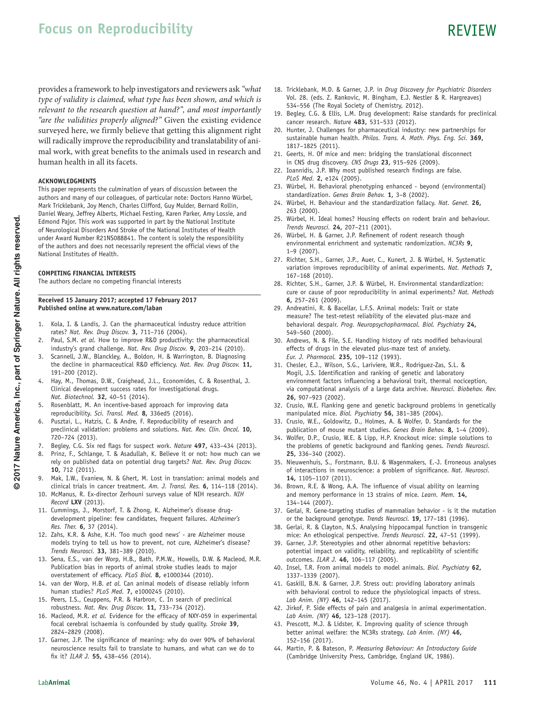## **Focus on Reproducibility REVIEW**

provides a framework to help investigators and reviewers ask *"what type of validity is claimed, what type has been shown, and which is relevant to the research question at hand?", and most importantly "are the validities properly aligned?"* Given the existing evidence surveyed here, we firmly believe that getting this alignment right will radically improve the reproducibility and translatability of animal work, with great benefits to the animals used in research and human health in all its facets.

#### **Acknowledgments**

This paper represents the culmination of years of discussion between the authors and many of our colleagues, of particular note: Doctors Hanno Würbel, Mark Tricklebank, Joy Mench, Charles Clifford, Guy Mulder, Bernard Rollin, Daniel Weary, Jeffrey Alberts, Michael Festing, Karen Parker, Amy Lossie, and Edmond Pajor. This work was supported in part by the National Institute of Neurological Disorders And Stroke of the National Institutes of Health under Award Number R21NS088841. The content is solely the responsibility of the authors and does not necessarily represent the official views of the National Institutes of Health.

#### **COMPETING FINANCIAL INTERESTS**

The authors declare no competing financial interests

**Received 15 January 2017; accepted 17 February 2017 Published online at www.nature.com/laban**

- <span id="page-8-0"></span>1. Kola, I. & Landis, J. Can the pharmaceutical industry reduce attrition rates? *Nat. Rev. Drug Discov.* **3,** 711–716 (2004).
- Paul, S.M. *et al.* How to improve R&D productivity: the pharmaceutical industry's grand challenge. *Nat. Rev. Drug Discov.* **9,** 203–214 (2010).
- Scannell, J.W., Blanckley, A., Boldon, H. & Warrington, B. Diagnosing the decline in pharmaceutical R&D efficiency. *Nat. Rev. Drug Discov.* **11,** 191–200 (2012).
- Hay, M., Thomas, D.W., Craighead, J.L., Economides, C. & Rosenthal, J. Clinical development success rates for investigational drugs. *Nat. Biotechnol.* **32,** 40–51 (2014).
- <span id="page-8-1"></span>5. Rosenblatt, M. An incentive-based approach for improving data reproducibility. *Sci. Transl. Med.* **8,** 336ed5 (2016).
- Pusztai, L., Hatzis, C. & Andre, F. Reproducibility of research and preclinical validation: problems and solutions. *Nat. Rev. Clin. Oncol.* **10,** 720–724 (2013).
- <span id="page-8-13"></span>7. Begley, C.G. Six red flags for suspect work. *Nature* **497,** 433–434 (2013).
- 8. Prinz, F., Schlange, T. & Asadullah, K. Believe it or not: how much can we rely on published data on potential drug targets? *Nat. Rev. Drug Discov.* **10,** 712 (2011).
- <span id="page-8-6"></span>Mak, I.W., Evaniew, N. & Ghert, M. Lost in translation: animal models and clinical trials in cancer treatment. *Am. J. Transl. Res.* **6,** 114–118 (2014).
- 10. McManus, R. Ex-director Zerhouni surveys value of NIH research. *NIH Record* **LXV** (2013).
- 11. Cummings, J., Morstorf, T. & Zhong, K. Alzheimer's disease drugdevelopment pipeline: few candidates, frequent failures. *Alzheimer's Res. Ther.* **6,** 37 (2014).
- 12. Zahs, K.R. & Ashe, K.H. 'Too much good news' are Alzheimer mouse models trying to tell us how to prevent, not cure, Alzheimer's disease? *Trends Neurosci.* **33,** 381–389 (2010).
- 13. Sena, E.S., van der Worp, H.B., Bath, P.M.W., Howells, D.W. & Macleod, M.R. Publication bias in reports of animal stroke studies leads to major overstatement of efficacy. *PLoS Biol.* **8,** e1000344 (2010).
- 14. van der Worp, H.B. *et al.* Can animal models of disease reliably inform human studies? *PLoS Med.* **7,** e1000245 (2010).
- 15. Peers, I.S., Ceuppens, P.R. & Harbron, C. In search of preclinical robustness. *Nat. Rev. Drug Discov.* **11,** 733–734 (2012).
- <span id="page-8-3"></span>16. Macleod, M.R. *et al.* Evidence for the efficacy of NXY-059 in experimental focal cerebral ischaemia is confounded by study quality. *Stroke* **39,** 2824–2829 (2008).
- <span id="page-8-2"></span>17. Garner, J.P. The significance of meaning: why do over 90% of behavioral neuroscience results fail to translate to humans, and what can we do to fix it? *ILAR J.* **55,** 438–456 (2014).
- 18. Tricklebank, M.D. & Garner, J.P. in *Drug Discovery for Psychiatric Disorders* Vol. 28. (eds. Z. Rankovic, M. Bingham, E.J. Nestler & R. Hargreaves) 534–556 (The Royal Society of Chemistry, 2012).
- 19. Begley, C.G. & Ellis, L.M. Drug development: Raise standards for preclinical cancer research. *Nature* **483,** 531–533 (2012).
- 20. Hunter, J. Challenges for pharmaceutical industry: new partnerships for sustainable human health. *Philos. Trans. A. Math. Phys. Eng. Sci.* **369,** 1817–1825 (2011).
- 21. Geerts, H. Of mice and men: bridging the translational disconnect in CNS drug discovery. *CNS Drugs* **23,** 915–926 (2009).
- <span id="page-8-14"></span>22. Ioannidis, J.P. Why most published research findings are false. *PLoS Med.* **2,** e124 (2005).
- 23. Würbel, H. Behavioral phenotyping enhanced beyond (environmental) standardization. *Genes Brain Behav.* **1,** 3–8 (2002).
- 24. Würbel, H. Behaviour and the standardization fallacy. *Nat. Genet.* **26,** 263 (2000).
- 25. Würbel, H. Ideal homes? Housing effects on rodent brain and behaviour. *Trends Neurosci.* **24,** 207–211 (2001).
- <span id="page-8-4"></span>26. Würbel, H. & Garner, J.P. Refinement of rodent research though environmental enrichment and systematic randomization. *NC3Rs* **9,** 1–9 (2007).
- 27. Richter, S.H., Garner, J.P., Auer, C., Kunert, J. & Würbel, H. Systematic variation improves reproducibility of animal experiments. *Nat. Methods* **7,** 167–168 (2010).
- 28. Richter, S.H., Garner, J.P. & Würbel, H. Environmental standardization: cure or cause of poor reproducibility in animal experiments? *Nat. Methods* **6,** 257–261 (2009).
- <span id="page-8-10"></span>29. Andreatini, R. & Bacellar, L.F.S. Animal models: Trait or state measure? The test-retest reliability of the elevated plus-maze and behavioral despair. *Prog. Neuropsychopharmacol. Biol. Psychiatry* **24,** 549–560 (2000).
- <span id="page-8-12"></span>30. Andrews, N. & File, S.E. Handling history of rats modified behavioural effects of drugs in the elevated plus-maze test of anxiety. *Eur. J. Pharmacol.* **235,** 109–112 (1993).
- <span id="page-8-5"></span>31. Chesler, E.J., Wilson, S.G., Lariviere, W.R., Rodriguez-Zas, S.L. & Mogil, J.S. Identification and ranking of genetic and laboratory environment factors influencing a behavioral trait, thermal nociception, via computational analysis of a large data archive. *Neurosci. Biobehav. Rev.* **26,** 907–923 (2002).
- <span id="page-8-8"></span>32. Crusio, W.E. Flanking gene and genetic background problems in genetically manipulated mice. *Biol. Psychiatry* **56,** 381–385 (2004).
- <span id="page-8-9"></span>33. Crusio, W.E., Goldowitz, D., Holmes, A. & Wolfer, D. Standards for the publication of mouse mutant studies. *Genes Brain Behav.* **8,** 1–4 (2009).
- 34. Wolfer, D.P., Crusio, W.E. & Lipp, H.P. Knockout mice: simple solutions to the problems of genetic background and flanking genes. *Trends Neurosci.* **25,** 336–340 (2002).
- 35. Nieuwenhuis, S., Forstmann, B.U. & Wagenmakers, E.-J. Erroneous analyses of interactions in neuroscience: a problem of significance. *Nat. Neurosci.* **14,** 1105–1107 (2011).
- <span id="page-8-11"></span>36. Brown, R.E. & Wong, A.A. The influence of visual ability on learning and memory performance in 13 strains of mice. *Learn. Mem.* **14,** 134–144 (2007).
- 37. Gerlai, R. Gene-targeting studies of mammalian behavior is it the mutation or the background genotype. *Trends Neurosci.* **19,** 177–181 (1996).
- 38. Gerlai, R. & Clayton, N.S. Analysing hippocampal function in transgenic mice: An ethological perspective. *Trends Neurosci.* **22,** 47–51 (1999).
- 39. Garner, J.P. Stereotypies and other abnormal repetitive behaviors: potential impact on validity, reliability, and replicability of scientific outcomes. *ILAR J.* **46,** 106–117 (2005).
- 40. Insel, T.R. From animal models to model animals. *Biol. Psychiatry* **62,** 1337–1339 (2007).
- <span id="page-8-7"></span>41. Gaskill, B.N. & Garner, J.P. Stress out: providing laboratory animals with behavioral control to reduce the physiological impacts of stress. *Lab Anim. (NY)* **46,** 142–145 (2017).
- 42. Jirkof, P. Side effects of pain and analgesia in animal experimentation. *Lab Anim. (NY)* **46,** 123–128 (2017).
- 43. Prescott, M.J. & Lidster, K. Improving quality of science through better animal welfare: the NC3Rs strategy. *Lab Anim. (NY)* **46,** 152–156 (2017).
- 44. Martin, P. & Bateson, P. *Measuring Behaviour: An Introductory Guide* (Cambridge University Press, Cambridge, England UK, 1986).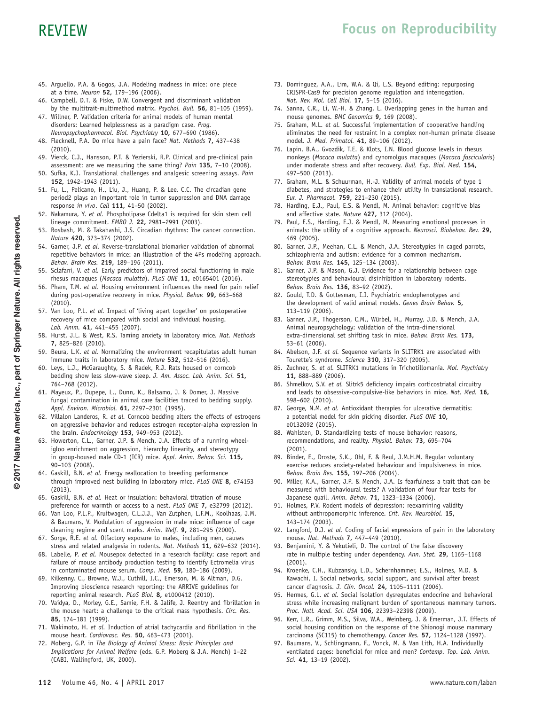## **REVIEW Focus on Reproducibility**

- 45. Arguello, P.A. & Gogos, J.A. Modeling madness in mice: one piece at a time. *Neuron* **52,** 179–196 (2006).
- 46. Campbell, D.T. & Fiske, D.W. Convergent and discriminant validation by the multitrait-multimethod matrix. *Psychol. Bull.* **56,** 81–105 (1959).
- 47. Willner, P. Validation criteria for animal models of human mental disorders: Learned helplessness as a paradigm case. *Prog. Neuropsychopharmacol. Biol. Psychiatry* **10,** 677–690 (1986).
- <span id="page-9-0"></span>48. Flecknell, P.A. Do mice have a pain face? *Nat. Methods* **7,** 437–438 (2010).
- <span id="page-9-1"></span>49. Vierck, C.J., Hansson, P.T. & Yezierski, R.P. Clinical and pre-clinical pain assessment: are we measuring the same thing? *Pain* **135,** 7–10 (2008).
- 50. Sufka, K.J. Translational challenges and analgesic screening assays. *Pain* **152,** 1942–1943 (2011).
- <span id="page-9-2"></span>51. Fu, L., Pelicano, H., Liu, J., Huang, P. & Lee, C.C. The circadian gene period2 plays an important role in tumor suppression and DNA damage response *in vivo*. *Cell* **111,** 41–50 (2002).
- Nakamura, Y. *et al.* Phospholipase Cdelta1 is required for skin stem cell lineage commitment. *EMBO J.* **22,** 2981–2991 (2003).
- Rosbash, M. & Takahashi, J.S. Circadian rhythms: The cancer connection. *Nature* **420,** 373–374 (2002).
- <span id="page-9-18"></span>54. Garner, J.P. *et al.* Reverse-translational biomarker validation of abnormal repetitive behaviors in mice: an illustration of the 4Ps modeling approach. *Behav. Brain Res.* **219,** 189–196 (2011).
- <span id="page-9-19"></span>Sclafani, V. et al. Early predictors of impaired social functioning in male rhesus macaques (*Macaca mulatta*). *PLoS ONE* **11,** e0165401 (2016).
- 56. Pham, T.M. *et al.* Housing environment influences the need for pain relief during post-operative recovery in mice. *Physiol. Behav.* **99,** 663–668 (2010).
- 57. Van Loo, P.L. *et al.* Impact of 'living apart together' on postoperative recovery of mice compared with social and individual housing. *Lab. Anim.* **41,** 441–455 (2007).
- <span id="page-9-7"></span>58. Hurst, J.L. & West, R.S. Taming anxiety in laboratory mice. *Nat. Methods* **7,** 825–826 (2010).
- <span id="page-9-3"></span>59. Beura, L.K. *et al.* Normalizing the environment recapitulates adult human immune traits in laboratory mice. *Nature* **532,** 512–516 (2016).
- <span id="page-9-4"></span>60. Leys, L.J., McGaraughty, S. & Radek, R.J. Rats housed on corncob bedding show less slow-wave sleep. *J. Am. Assoc. Lab. Anim. Sci.* **51,** 764–768 (2012).
- 61. Mayeux, P., Dupepe, L., Dunn, K., Balsamo, J. & Domer, J. Massive fungal contamination in animal care facilities traced to bedding supply. *Appl. Environ. Microbiol.* **61,** 2297–2301 (1995).
- <span id="page-9-30"></span>62. Villalon Landeros, R. *et al.* Corncob bedding alters the effects of estrogens on aggressive behavior and reduces estrogen receptor-alpha expression in the brain. *Endocrinology* **153,** 949–953 (2012).
- <span id="page-9-5"></span>63. Howerton, C.L., Garner, J.P. & Mench, J.A. Effects of a running wheeligloo enrichment on aggression, hierarchy linearity, and stereotypy in group-housed male CD-1 (ICR) mice. *Appl. Anim. Behav. Sci.* **115,** 90–103 (2008).
- <span id="page-9-10"></span>64. Gaskill, B.N. *et al.* Energy reallocation to breeding performance through improved nest building in laboratory mice. *PLoS ONE* **8,** e74153 (2013).
- 65. Gaskill, B.N. *et al.* Heat or insulation: behavioral titration of mouse preference for warmth or access to a nest. *PLoS ONE* **7,** e32799 (2012).
- <span id="page-9-6"></span>66. Van Loo, P.L.P., Kruitwagen, C.L.J.J., Van Zutphen, L.F.M., Koolhaas, J.M. & Baumans, V. Modulation of aggression in male mice: influence of cage cleaning regime and scent marks. *Anim. Welf.* **9,** 281–295 (2000).
- <span id="page-9-8"></span>67. Sorge, R.E. *et al.* Olfactory exposure to males, including men, causes stress and related analgesia in rodents. *Nat. Methods* **11,** 629–632 (2014).
- <span id="page-9-9"></span>68. Labelle, P. *et al.* Mousepox detected in a research facility: case report and failure of mouse antibody production testing to identify Ectromelia virus in contaminated mouse serum. *Comp. Med.* **59,** 180–186 (2009).
- <span id="page-9-11"></span>69. Kilkenny, C., Browne, W.J., Cuthill, I.C., Emerson, M. & Altman, D.G. Improving bioscience research reporting: the ARRIVE guidelines for reporting animal research. *PLoS Biol.* **8,** e1000412 (2010).
- <span id="page-9-12"></span>70. Vaidya, D., Morley, G.E., Samie, F.H. & Jalife, J. Reentry and fibrillation in the mouse heart: a challenge to the critical mass hypothesis. *Circ. Res.* **85,** 174–181 (1999).
- 71. Wakimoto, H. *et al.* Induction of atrial tachycardia and fibrillation in the mouse heart. *Cardiovasc. Res.* **50,** 463–473 (2001).
- 72. Moberg, G.P. in *The Biology of Animal Stress: Basic Principles and Implications for Animal Welfare* (eds. G.P. Moberg & J.A. Mench) 1–22 (CABI, Wallingford, UK, 2000).
- <span id="page-9-13"></span>73. Dominguez, A.A., Lim, W.A. & Qi, L.S. Beyond editing: repurposing CRISPR-Cas9 for precision genome regulation and interrogation. *Nat. Rev. Mol. Cell Biol.* **17,** 5–15 (2016).
- <span id="page-9-14"></span>74. Sanna, C.R., Li, W.-H. & Zhang, L. Overlapping genes in the human and mouse genomes. *BMC Genomics* **9,** 169 (2008).
- <span id="page-9-15"></span>75. Graham, M.L. *et al.* Successful implementation of cooperative handling eliminates the need for restraint in a complex non-human primate disease model. *J. Med. Primatol.* **41,** 89–106 (2012).
- 76. Lapin, B.A., Gvozdik, T.E. & Klots, I.N. Blood glucose levels in rhesus monkeys (*Macaca mulatta*) and cynomolgus macaques (*Macaca fascicularis*) under moderate stress and after recovery. *Bull. Exp. Biol. Med.* **154,** 497–500 (2013).
- 77. Graham, M.L. & Schuurman, H.-J. Validity of animal models of type 1 diabetes, and strategies to enhance their utility in translational research. *Eur. J. Pharmacol.* **759,** 221–230 (2015).
- <span id="page-9-16"></span>78. Harding, E.J., Paul, E.S. & Mendl, M. Animal behavior: cognitive bias and affective state. *Nature* **427,** 312 (2004).
- <span id="page-9-17"></span>79. Paul, E.S., Harding, E.J. & Mendl, M. Measuring emotional processes in animals: the utility of a cognitive approach. *Neurosci. Biobehav. Rev.* **29,** 469 (2005).
- 80. Garner, J.P., Meehan, C.L. & Mench, J.A. Stereotypies in caged parrots, schizophrenia and autism: evidence for a common mechanism. *Behav. Brain Res.* **145,** 125–134 (2003).
- 81. Garner, J.P. & Mason, G.J. Evidence for a relationship between cage stereotypies and behavioural disinhibition in laboratory rodents. *Behav. Brain Res.* **136,** 83–92 (2002).
- 82. Gould, T.D. & Gottesman, I.I. Psychiatric endophenotypes and the development of valid animal models. *Genes Brain Behav.* **5,** 113–119 (2006).
- <span id="page-9-20"></span>83. Garner, J.P., Thogerson, C.M., Würbel, H., Murray, J.D. & Mench, J.A. Animal neuropsychology: validation of the intra-dimensional extra-dimensional set shifting task in mice. *Behav. Brain Res.* **173,** 53–61 (2006).
- <span id="page-9-21"></span>84. Abelson, J.F. *et al.* Sequence variants in SLITRK1 are associated with Tourette's syndrome. *Science* **310,** 317–320 (2005).
- 85. Zuchner, S. *et al.* SLITRK1 mutations in Trichotillomania. *Mol. Psychiatry* **11,** 888–889 (2006).
- <span id="page-9-22"></span>86. Shmelkov, S.V. *et al.* Slitrk5 deficiency impairs corticostriatal circuitry and leads to obsessive-compulsive-like behaviors in mice. *Nat. Med.* **16,** 598–602 (2010).
- 87. George, N.M. *et al.* Antioxidant therapies for ulcerative dermatitis: a potential model for skin picking disorder. *PLoS ONE* **10,** e0132092 (2015).
- <span id="page-9-23"></span>88. Wahlsten, D. Standardizing tests of mouse behavior: reasons, recommendations, and reality. *Physiol. Behav.* **73,** 695–704 (2001).
- <span id="page-9-24"></span>89. Binder, E., Droste, S.K., Ohl, F. & Reul, J.M.H.M. Regular voluntary exercise reduces anxiety-related behaviour and impulsiveness in mice. *Behav. Brain Res.* **155,** 197–206 (2004).
- 90. Miller, K.A., Garner, J.P. & Mench, J.A. Is fearfulness a trait that can be measured with behavioural tests? A validation of four fear tests for Japanese quail. *Anim. Behav.* **71,** 1323–1334 (2006).
- 91. Holmes, P.V. Rodent models of depression: reexamining validity without anthropomorphic inference. *Crit. Rev. Neurobiol.* **15,** 143–174 (2003).
- 92. Langford, D.J. *et al.* Coding of facial expressions of pain in the laboratory mouse. *Nat. Methods* **7,** 447–449 (2010).
- <span id="page-9-25"></span>93. Benjamini, Y. & Yekutieli, D. The control of the false discovery rate in multiple testing under dependency. *Ann. Stat.* **29,** 1165–1168 (2001).
- <span id="page-9-26"></span>94. Kroenke, C.H., Kubzansky, L.D., Schernhammer, E.S., Holmes, M.D. & Kawachi, I. Social networks, social support, and survival after breast cancer diagnosis. *J. Clin. Oncol.* **24,** 1105–1111 (2006).
- <span id="page-9-27"></span>95. Hermes, G.L. *et al.* Social isolation dysregulates endocrine and behavioral stress while increasing malignant burden of spontaneous mammary tumors. *Proc. Natl. Acad. Sci. USA* **106,** 22393–22398 (2009).
- <span id="page-9-28"></span>96. Kerr, L.R., Grimm, M.S., Silva, W.A., Weinberg, J. & Emerman, J.T. Effects of social housing condition on the response of the Shionogi mouse mammary carcinoma (SC115) to chemotherapy. *Cancer Res.* **57,** 1124–1128 (1997).
- <span id="page-9-29"></span>97. Baumans, V., Schlingmann, F., Vonck, M. & Van Lith, H.A. Individually ventilated cages: beneficial for mice and men? *Contemp. Top. Lab. Anim. Sci.* **41,** 13–19 (2002).